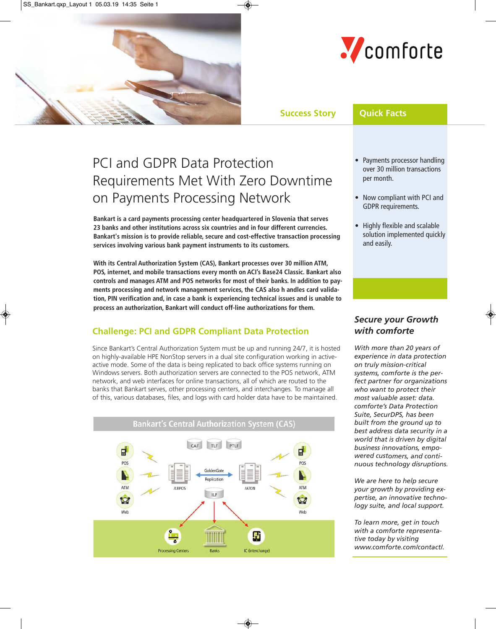



**Success Story Quick Facts**

# PCI and GDPR Data Protection Requirements Met With Zero Downtime on Payments Processing Network

**Bankart is a card payments processing center headquartered in Slovenia that serves 23 banks and other institutions across six countries and in four different currencies. Bankart's mission is to provide reliable, secure and cost-effective transaction processing services involving various bank payment instruments to its customers.** 

**With its Central Authorization System (CAS), Bankart processes over 30 million ATM, POS, internet, and mobile transactions every month on ACI's Base24 Classic. Bankart also controls and manages ATM and POS networks for most of their banks. In addition to payments processing and network management services, the CAS also h andles card validation, PIN verification and, in case a bank is experiencing technical issues and is unable to process an authorization, Bankart will conduct off-line authorizations for them.**

# **Challenge: PCI and GDPR Compliant Data Protection**

Since Bankart's Central Authorization System must be up and running 24/7, it is hosted on highly-available HPE NonStop servers in a dual site configuration working in activeactive mode. Some of the data is being replicated to back office systems running on Windows servers. Both authorization servers are connected to the POS network, ATM network, and web interfaces for online transactions, all of which are routed to the banks that Bankart serves, other processing centers, and interchanges. To manage all of this, various databases, files, and logs with card holder data have to be maintained.



- Payments processor handling over 30 million transactions per month.
- Now compliant with PCI and GDPR requirements.
- Highly flexible and scalable solution implemented quickly and easily.

## *Secure your Growth with comforte*

*With more than 20 years of experience in data protection on truly mission-critical systems, comforte is the perfect partner for organizations who want to protect their most valuable asset: data. comforte's Data Protection Suite, SecurDPS, has been built from the ground up to best address data security in a world that is driven by digital business innovations, empowered customers, and continuous technology disruptions.*

*We are here to help secure your growth by providing expertise, an innovative technology suite, and local support.* 

*To learn more, get in touch with a comforte representative today by visiting www.comforte.com/contact/.*